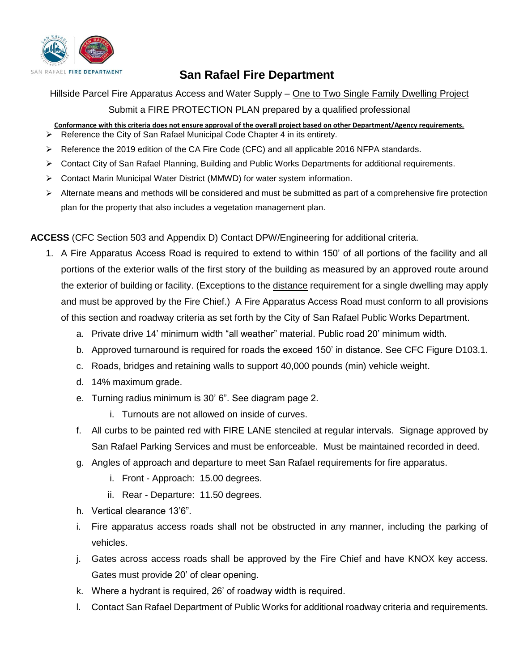

## **San Rafael Fire Department**

Hillside Parcel Fire Apparatus Access and Water Supply – One to Two Single Family Dwelling Project Submit a FIRE PROTECTION PLAN prepared by a qualified professional

- **Conformance with this criteria does not ensure approval of the overall project based on other Department/Agency requirements.** ➢ Reference the City of San Rafael Municipal Code Chapter 4 in its entirety.
- ➢ Reference the 2019 edition of the CA Fire Code (CFC) and all applicable 2016 NFPA standards.
- ➢ Contact City of San Rafael Planning, Building and Public Works Departments for additional requirements.
- ➢ Contact Marin Municipal Water District (MMWD) for water system information.
- $\triangleright$  Alternate means and methods will be considered and must be submitted as part of a comprehensive fire protection plan for the property that also includes a vegetation management plan.

**ACCESS** (CFC Section 503 and Appendix D) Contact DPW/Engineering for additional criteria.

- 1. A Fire Apparatus Access Road is required to extend to within 150' of all portions of the facility and all portions of the exterior walls of the first story of the building as measured by an approved route around the exterior of building or facility. (Exceptions to the distance requirement for a single dwelling may apply and must be approved by the Fire Chief.) A Fire Apparatus Access Road must conform to all provisions of this section and roadway criteria as set forth by the City of San Rafael Public Works Department.
	- a. Private drive 14' minimum width "all weather" material. Public road 20' minimum width.
	- b. Approved turnaround is required for roads the exceed 150' in distance. See CFC Figure D103.1.
	- c. Roads, bridges and retaining walls to support 40,000 pounds (min) vehicle weight.
	- d. 14% maximum grade.
	- e. Turning radius minimum is 30' 6". See diagram page 2.
		- i. Turnouts are not allowed on inside of curves.
	- f. All curbs to be painted red with FIRE LANE stenciled at regular intervals. Signage approved by San Rafael Parking Services and must be enforceable. Must be maintained recorded in deed.
	- g. Angles of approach and departure to meet San Rafael requirements for fire apparatus.
		- i. Front Approach: 15.00 degrees.
		- ii. Rear Departure: 11.50 degrees.
	- h. Vertical clearance 13'6".
	- i. Fire apparatus access roads shall not be obstructed in any manner, including the parking of vehicles.
	- j. Gates across access roads shall be approved by the Fire Chief and have KNOX key access. Gates must provide 20' of clear opening.
	- k. Where a hydrant is required, 26' of roadway width is required.
	- l. Contact San Rafael Department of Public Works for additional roadway criteria and requirements.